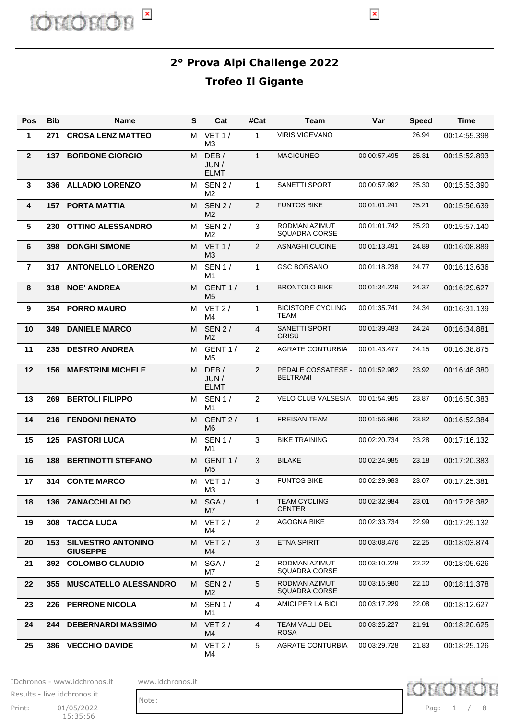$\pmb{\times}$ 

| <b>Pos</b>      | <b>Bib</b> | Name                                         | S | Cat                             | #Cat           | <b>Team</b>                           | Var          | <b>Speed</b> | <b>Time</b>  |
|-----------------|------------|----------------------------------------------|---|---------------------------------|----------------|---------------------------------------|--------------|--------------|--------------|
| $\mathbf{1}$    | 271        | <b>CROSA LENZ MATTEO</b>                     | M | VET1/<br>M3                     | $\mathbf{1}$   | <b>VIRIS VIGEVANO</b>                 |              | 26.94        | 00:14:55.398 |
| $\overline{2}$  | 137        | <b>BORDONE GIORGIO</b>                       | м | DEB/<br>JUN /<br><b>ELMT</b>    | $\mathbf{1}$   | <b>MAGICUNEO</b>                      | 00:00:57.495 | 25.31        | 00:15:52.893 |
| 3               |            | 336 ALLADIO LORENZO                          | м | <b>SEN 2/</b><br>M <sub>2</sub> | 1              | SANETTI SPORT                         | 00:00:57.992 | 25.30        | 00:15:53.390 |
| 4               |            | <b>157 PORTA MATTIA</b>                      | М | <b>SEN 2/</b><br>M <sub>2</sub> | 2              | <b>FUNTOS BIKE</b>                    | 00:01:01.241 | 25.21        | 00:15:56.639 |
| $5\phantom{.0}$ | 230        | <b>OTTINO ALESSANDRO</b>                     | м | <b>SEN 2/</b><br>M <sub>2</sub> | 3              | RODMAN AZIMUT<br><b>SQUADRA CORSE</b> | 00:01:01.742 | 25.20        | 00:15:57.140 |
| 6               | 398        | <b>DONGHI SIMONE</b>                         | М | VET1/<br>M3                     | 2              | <b>ASNAGHI CUCINE</b>                 | 00:01:13.491 | 24.89        | 00:16:08.889 |
| $\overline{7}$  |            | 317 ANTONELLO LORENZO                        | м | <b>SEN 1/</b><br>M <sub>1</sub> | $\mathbf{1}$   | <b>GSC BORSANO</b>                    | 00:01:18.238 | 24.77        | 00:16:13.636 |
| 8               | 318        | <b>NOE' ANDREA</b>                           | М | GENT <sub>1</sub> /<br>M5       | $\mathbf{1}$   | <b>BRONTOLO BIKE</b>                  | 00:01:34.229 | 24.37        | 00:16:29.627 |
| 9               | 354        | <b>PORRO MAURO</b>                           | м | VET $2/$<br>M4                  | $\mathbf{1}$   | <b>BICISTORE CYCLING</b><br>TEAM      | 00:01:35.741 | 24.34        | 00:16:31.139 |
| 10              | 349        | <b>DANIELE MARCO</b>                         | M | <b>SEN 2/</b><br>M2             | $\overline{4}$ | <b>SANETTI SPORT</b><br>GRISÙ         | 00:01:39.483 | 24.24        | 00:16:34.881 |
| 11              | 235        | <b>DESTRO ANDREA</b>                         | м | GENT <sub>1</sub> /<br>M5       | 2              | <b>AGRATE CONTURBIA</b>               | 00:01:43.477 | 24.15        | 00:16:38.875 |
| 12              | 156        | <b>MAESTRINI MICHELE</b>                     | М | DEB/<br>JUN/<br><b>ELMT</b>     | $\overline{2}$ | PEDALE COSSATESE -<br><b>BELTRAMI</b> | 00:01:52.982 | 23.92        | 00:16:48.380 |
| 13              | 269        | <b>BERTOLI FILIPPO</b>                       | м | <b>SEN 1/</b><br>M1             | 2              | VELO CLUB VALSESIA                    | 00:01:54.985 | 23.87        | 00:16:50.383 |
| 14              | 216        | <b>FENDONI RENATO</b>                        | M | GENT 2/<br>M <sub>6</sub>       | $\mathbf{1}$   | <b>FREISAN TEAM</b>                   | 00:01:56.986 | 23.82        | 00:16:52.384 |
| 15              | 125        | <b>PASTORI LUCA</b>                          | М | <b>SEN 1/</b><br>M1             | 3              | <b>BIKE TRAINING</b>                  | 00:02:20.734 | 23.28        | 00:17:16.132 |
| 16              | 188        | <b>BERTINOTTI STEFANO</b>                    | M | GENT 1/<br>M <sub>5</sub>       | 3              | <b>BILAKE</b>                         | 00:02:24.985 | 23.18        | 00:17:20.383 |
| 17              | 314        | <b>CONTE MARCO</b>                           | м | <b>VET 1/</b><br>M <sub>3</sub> | 3              | <b>FUNTOS BIKE</b>                    | 00:02:29.983 | 23.07        | 00:17:25.381 |
| 18              |            | 136 ZANACCHI ALDO                            |   | M SGA/<br>M7                    | 1              | <b>TEAM CYCLING</b><br><b>CENTER</b>  | 00:02:32.984 | 23.01        | 00:17:28.382 |
| 19              | 308        | <b>TACCA LUCA</b>                            | м | VET 2/<br>M4                    | $\overline{2}$ | <b>AGOGNA BIKE</b>                    | 00:02:33.734 | 22.99        | 00:17:29.132 |
| 20              | 153        | <b>SILVESTRO ANTONINO</b><br><b>GIUSEPPE</b> | M | VET 2/<br>M4                    | 3              | <b>ETNA SPIRIT</b>                    | 00:03:08.476 | 22.25        | 00:18:03.874 |
| 21              | 392        | <b>COLOMBO CLAUDIO</b>                       | м | SGA/<br>M7                      | $\overline{2}$ | RODMAN AZIMUT<br><b>SQUADRA CORSE</b> | 00:03:10.228 | 22.22        | 00:18:05.626 |
| 22              | 355        | <b>MUSCATELLO ALESSANDRO</b>                 | М | <b>SEN 2/</b><br>M <sub>2</sub> | 5              | RODMAN AZIMUT<br><b>SQUADRA CORSE</b> | 00:03:15.980 | 22.10        | 00:18:11.378 |
| 23              | 226        | <b>PERRONE NICOLA</b>                        | м | <b>SEN 1/</b><br>M1             | 4              | AMICI PER LA BICI                     | 00:03:17.229 | 22.08        | 00:18:12.627 |
| 24              | 244        | <b>DEBERNARDI MASSIMO</b>                    | M | VET 2/<br>M4                    | 4              | TEAM VALLI DEL<br><b>ROSA</b>         | 00:03:25.227 | 21.91        | 00:18:20.625 |
| 25              |            | 386 VECCHIO DAVIDE                           | м | VET 2/<br>M4                    | 5              | <b>AGRATE CONTURBIA</b>               | 00:03:29.728 | 21.83        | 00:18:25.126 |

IDchronos - www.idchronos.it www.idchronos.it

Note:

Print: 01/05/2022 Pag: 15:35:56 Results - live.idchronos.it

Pag: 1 / 8

**D** chron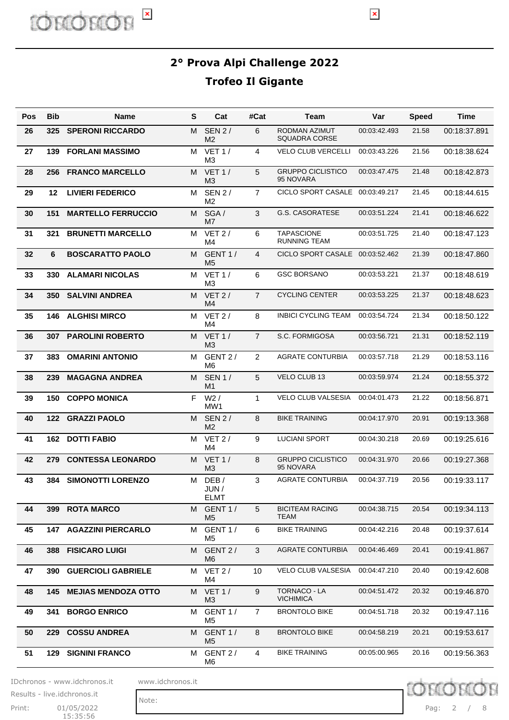

 $\vert \mathbf{x} \vert$ 

| Pos | <b>Bib</b> | <b>Name</b>                   | s | Cat                             | #Cat            | Team                                     | Var          | <b>Speed</b> | Time         |
|-----|------------|-------------------------------|---|---------------------------------|-----------------|------------------------------------------|--------------|--------------|--------------|
| 26  | 325        | <b>SPERONI RICCARDO</b>       | М | <b>SEN 2/</b><br>M <sub>2</sub> | 6               | RODMAN AZIMUT<br><b>SQUADRA CORSE</b>    | 00:03:42.493 | 21.58        | 00:18:37.891 |
| 27  | 139        | <b>FORLANI MASSIMO</b>        | м | VET $1/$<br>M3                  | $\overline{4}$  | <b>VELO CLUB VERCELLI</b>                | 00:03:43.226 | 21.56        | 00:18:38.624 |
| 28  | 256        | <b>FRANCO MARCELLO</b>        | М | VET1/<br>MЗ                     | 5               | <b>GRUPPO CICLISTICO</b><br>95 NOVARA    | 00:03:47.475 | 21.48        | 00:18:42.873 |
| 29  | 12         | <b>LIVIERI FEDERICO</b>       | м | <b>SEN 2/</b><br>M <sub>2</sub> | $\overline{7}$  | CICLO SPORT CASALE                       | 00:03:49.217 | 21.45        | 00:18:44.615 |
| 30  | 151        | <b>MARTELLO FERRUCCIO</b>     | м | SGA/<br>M7                      | 3               | <b>G.S. CASORATESE</b>                   | 00:03:51.224 | 21.41        | 00:18:46.622 |
| 31  | 321        | <b>BRUNETTI MARCELLO</b>      | м | VET $2/$<br>M <sub>4</sub>      | 6               | <b>TAPASCIONE</b><br><b>RUNNING TEAM</b> | 00:03:51.725 | 21.40        | 00:18:47.123 |
| 32  | 6          | <b>BOSCARATTO PAOLO</b>       | м | GENT 1/<br>M <sub>5</sub>       | $\overline{4}$  | CICLO SPORT CASALE                       | 00:03:52.462 | 21.39        | 00:18:47.860 |
| 33  | 330        | <b>ALAMARI NICOLAS</b>        | м | VET1/<br>M <sub>3</sub>         | 6               | <b>GSC BORSANO</b>                       | 00:03:53.221 | 21.37        | 00:18:48.619 |
| 34  | 350        | <b>SALVINI ANDREA</b>         | М | VET $2/$<br>M4                  | $\overline{7}$  | <b>CYCLING CENTER</b>                    | 00:03:53.225 | 21.37        | 00:18:48.623 |
| 35  | 146        | <b>ALGHISI MIRCO</b>          | м | VET $2/$<br>M <sub>4</sub>      | 8               | <b>INBICI CYCLING TEAM</b>               | 00:03:54.724 | 21.34        | 00:18:50.122 |
| 36  | 307        | <b>PAROLINI ROBERTO</b>       | М | VET1/<br>M <sub>3</sub>         | $\overline{7}$  | S.C. FORMIGOSA                           | 00:03:56.721 | 21.31        | 00:18:52.119 |
| 37  | 383        | <b>OMARINI ANTONIO</b>        | м | GENT 2/<br>M <sub>6</sub>       | 2               | <b>AGRATE CONTURBIA</b>                  | 00:03:57.718 | 21.29        | 00:18:53.116 |
| 38  | 239        | <b>MAGAGNA ANDREA</b>         | М | <b>SEN 1/</b><br>M1             | 5               | VELO CLUB 13                             | 00:03:59.974 | 21.24        | 00:18:55.372 |
| 39  | 150        | <b>COPPO MONICA</b>           | F | $W2$ /<br>MW1                   | 1               | <b>VELO CLUB VALSESIA</b>                | 00:04:01.473 | 21.22        | 00:18:56.871 |
| 40  | 122        | <b>GRAZZI PAOLO</b>           | м | <b>SEN 2/</b><br>M <sub>2</sub> | 8               | <b>BIKE TRAINING</b>                     | 00:04:17.970 | 20.91        | 00:19:13.368 |
| 41  | 162        | <b>DOTTI FABIO</b>            | м | $VET$ 2 /<br>M <sub>4</sub>     | 9               | <b>LUCIANI SPORT</b>                     | 00:04:30.218 | 20.69        | 00:19:25.616 |
| 42  | 279        | <b>CONTESSA LEONARDO</b>      | М | VET1/<br>M <sub>3</sub>         | 8               | <b>GRUPPO CICLISTICO</b><br>95 NOVARA    | 00:04:31.970 | 20.66        | 00:19:27.368 |
| 43  | 384        | <b>SIMONOTTI LORENZO</b>      | м | DEB/<br>JUN/<br><b>ELMT</b>     | 3               | <b>AGRATE CONTURBIA</b>                  | 00:04:37.719 | 20.56        | 00:19:33.117 |
| 44  | 399        | <b>ROTA MARCO</b>             | М | GENT 1/<br>M <sub>5</sub>       | $5\phantom{.0}$ | <b>BICITEAM RACING</b><br><b>TEAM</b>    | 00:04:38.715 | 20.54        | 00:19:34.113 |
| 45  |            | <b>147 AGAZZINI PIERCARLO</b> | м | GENT 1/<br>M5                   | 6               | <b>BIKE TRAINING</b>                     | 00:04:42.216 | 20.48        | 00:19:37.614 |
| 46  | 388        | <b>FISICARO LUIGI</b>         | М | GENT 2/<br>M <sub>6</sub>       | 3               | <b>AGRATE CONTURBIA</b>                  | 00:04:46.469 | 20.41        | 00:19:41.867 |
| 47  | 390        | <b>GUERCIOLI GABRIELE</b>     | м | VET 2/<br>M4                    | 10              | VELO CLUB VALSESIA                       | 00:04:47.210 | 20.40        | 00:19:42.608 |
| 48  | 145        | <b>MEJIAS MENDOZA OTTO</b>    | M | <b>VET 1/</b><br>M <sub>3</sub> | 9               | TORNACO - LA<br><b>VICHIMICA</b>         | 00:04:51.472 | 20.32        | 00:19:46.870 |
| 49  | 341        | <b>BORGO ENRICO</b>           | м | GENT 1/<br>M5                   | $\overline{7}$  | <b>BRONTOLO BIKE</b>                     | 00:04:51.718 | 20.32        | 00:19:47.116 |
| 50  | 229        | <b>COSSU ANDREA</b>           | м | GENT 1/<br>M <sub>5</sub>       | 8               | <b>BRONTOLO BIKE</b>                     | 00:04:58.219 | 20.21        | 00:19:53.617 |
| 51  | 129        | <b>SIGNINI FRANCO</b>         | м | GENT 2/<br>M6                   | $\overline{4}$  | <b>BIKE TRAINING</b>                     | 00:05:00.965 | 20.16        | 00:19:56.363 |

IDchronos - www.idchronos.it www.idchronos.it

Print: 01/05/2022 15:35:56 Results - live.idchronos.it

Note:

**ID chron** Pag: 2 / 8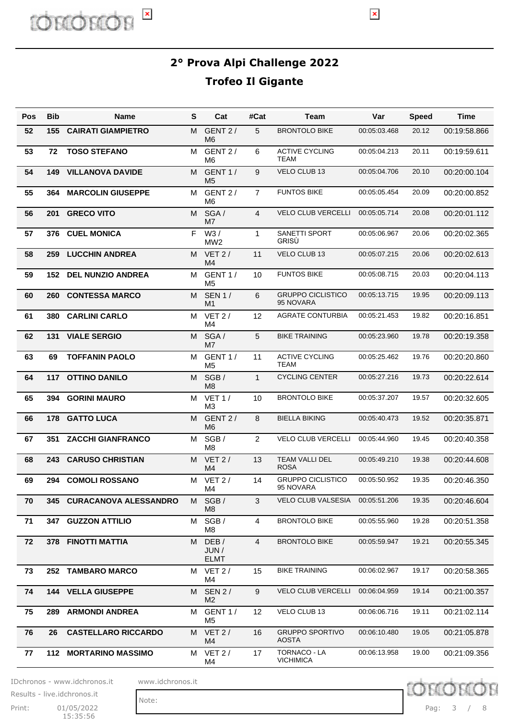

| Pos | <b>Bib</b> | <b>Name</b>                | S | Cat                             | #Cat           | Team                                   | Var          | <b>Speed</b> | <b>Time</b>  |
|-----|------------|----------------------------|---|---------------------------------|----------------|----------------------------------------|--------------|--------------|--------------|
| 52  | 155        | <b>CAIRATI GIAMPIETRO</b>  | М | GENT 2/<br>M <sub>6</sub>       | 5              | <b>BRONTOLO BIKE</b>                   | 00:05:03.468 | 20.12        | 00:19:58.866 |
| 53  | 72         | <b>TOSO STEFANO</b>        | M | GENT 2/<br>M <sub>6</sub>       | 6              | <b>ACTIVE CYCLING</b><br><b>TEAM</b>   | 00:05:04.213 | 20.11        | 00:19:59.611 |
| 54  | 149        | <b>VILLANOVA DAVIDE</b>    | M | GENT 1/<br>M <sub>5</sub>       | 9              | VELO CLUB 13                           | 00:05:04.706 | 20.10        | 00:20:00.104 |
| 55  | 364        | <b>MARCOLIN GIUSEPPE</b>   | M | GENT 2/<br>M <sub>6</sub>       | $\overline{7}$ | <b>FUNTOS BIKE</b>                     | 00:05:05.454 | 20.09        | 00:20:00.852 |
| 56  | 201        | <b>GRECO VITO</b>          | M | SGA/<br>M <sub>7</sub>          | $\overline{4}$ | <b>VELO CLUB VERCELLI</b>              | 00:05:05.714 | 20.08        | 00:20:01.112 |
| 57  | 376        | <b>CUEL MONICA</b>         | F | W3/<br>MW <sub>2</sub>          | 1              | SANETTI SPORT<br>GRISÙ                 | 00:05:06.967 | 20.06        | 00:20:02.365 |
| 58  | 259        | <b>LUCCHIN ANDREA</b>      | М | VET $2/$<br>M <sub>4</sub>      | 11             | VELO CLUB 13                           | 00:05:07.215 | 20.06        | 00:20:02.613 |
| 59  | 152        | <b>DEL NUNZIO ANDREA</b>   | М | GENT 1/<br>M <sub>5</sub>       | 10             | <b>FUNTOS BIKE</b>                     | 00:05:08.715 | 20.03        | 00:20:04.113 |
| 60  | 260        | <b>CONTESSA MARCO</b>      | M | <b>SEN 1/</b><br>M <sub>1</sub> | 6              | <b>GRUPPO CICLISTICO</b><br>95 NOVARA  | 00:05:13.715 | 19.95        | 00:20:09.113 |
| 61  | 380        | <b>CARLINI CARLO</b>       | М | VET $2/$<br>M <sub>4</sub>      | 12             | <b>AGRATE CONTURBIA</b>                | 00:05:21.453 | 19.82        | 00:20:16.851 |
| 62  | 131        | <b>VIALE SERGIO</b>        | M | SGA/<br>M <sub>7</sub>          | 5              | <b>BIKE TRAINING</b>                   | 00:05:23.960 | 19.78        | 00:20:19.358 |
| 63  | 69         | <b>TOFFANIN PAOLO</b>      | м | GENT 1/<br>M <sub>5</sub>       | 11             | <b>ACTIVE CYCLING</b><br>TEAM          | 00:05:25.462 | 19.76        | 00:20:20.860 |
| 64  |            | 117 OTTINO DANILO          | м | SGB/<br>M <sub>8</sub>          | $\mathbf{1}$   | <b>CYCLING CENTER</b>                  | 00:05:27.216 | 19.73        | 00:20:22.614 |
| 65  | 394        | <b>GORINI MAURO</b>        | м | VET1/<br>M <sub>3</sub>         | 10             | <b>BRONTOLO BIKE</b>                   | 00:05:37.207 | 19.57        | 00:20:32.605 |
| 66  | 178        | <b>GATTO LUCA</b>          | м | GENT 2/<br>M <sub>6</sub>       | 8              | <b>BIELLA BIKING</b>                   | 00:05:40.473 | 19.52        | 00:20:35.871 |
| 67  | 351        | <b>ZACCHI GIANFRANCO</b>   | м | SGB/<br>M <sub>8</sub>          | $\overline{2}$ | <b>VELO CLUB VERCELLI</b>              | 00:05:44.960 | 19.45        | 00:20:40.358 |
| 68  | 243        | <b>CARUSO CHRISTIAN</b>    | М | $VET$ 2 /<br>M <sub>4</sub>     | 13             | <b>TEAM VALLI DEL</b><br><b>ROSA</b>   | 00:05:49.210 | 19.38        | 00:20:44.608 |
| 69  | 294        | <b>COMOLI ROSSANO</b>      | М | VET 2/<br>M4                    | 14             | <b>GRUPPO CICLISTICO</b><br>95 NOVARA  | 00:05:50.952 | 19.35        | 00:20:46.350 |
| 70  |            | 345 CURACANOVA ALESSANDRO  | M | SGB/<br>M <sub>8</sub>          | 3              | VELO CLUB VALSESIA                     | 00:05:51.206 | 19.35        | 00:20:46.604 |
| 71  |            | 347 GUZZON ATTILIO         | М | SGB/<br>M8                      | 4              | <b>BRONTOLO BIKE</b>                   | 00:05:55.960 | 19.28        | 00:20:51.358 |
| 72  |            | 378 FINOTTI MATTIA         | м | DEB/<br>JUN/<br><b>ELMT</b>     | $\overline{4}$ | <b>BRONTOLO BIKE</b>                   | 00:05:59.947 | 19.21        | 00:20:55.345 |
| 73  |            | 252 TAMBARO MARCO          | M | VET 2/<br>M4                    | 15             | <b>BIKE TRAINING</b>                   | 00:06:02.967 | 19.17        | 00:20:58.365 |
| 74  |            | <b>144 VELLA GIUSEPPE</b>  | м | <b>SEN 2/</b><br>M <sub>2</sub> | 9              | <b>VELO CLUB VERCELLI</b>              | 00:06:04.959 | 19.14        | 00:21:00.357 |
| 75  | 289.       | <b>ARMONDI ANDREA</b>      | м | GENT 1/<br>M5                   | 12             | VELO CLUB 13                           | 00:06:06.716 | 19.11        | 00:21:02.114 |
| 76  | 26         | <b>CASTELLARO RICCARDO</b> | M | <b>VET 2/</b><br>M4             | 16             | <b>GRUPPO SPORTIVO</b><br><b>AOSTA</b> | 00:06:10.480 | 19.05        | 00:21:05.878 |
| 77  |            | 112 MORTARINO MASSIMO      | м | VET 2/<br>M4                    | 17             | TORNACO - LA<br><b>VICHIMICA</b>       | 00:06:13.958 | 19.00        | 00:21:09.356 |

IDchronos - www.idchronos.it www.idchronos.it

Print: 01/05/2022 15:35:56 Results - live.idchronos.it

Note:

Pag: 3 / 8

**ID chron** 

 $\vert \mathbf{x} \vert$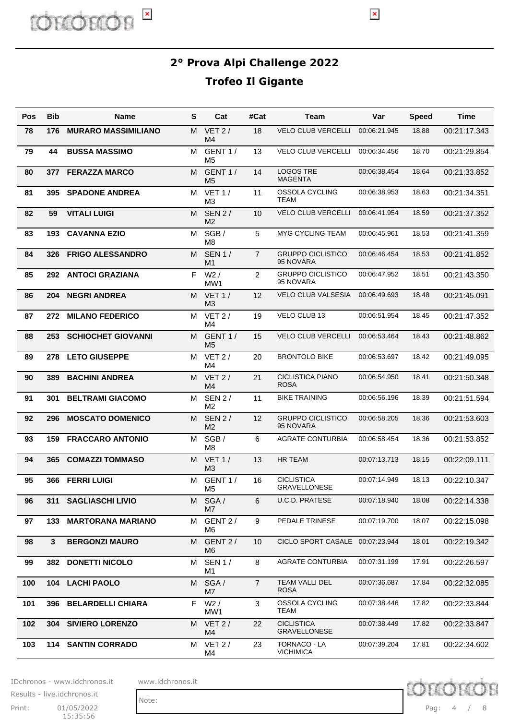$\pmb{\times}$ 

| Pos | <b>Bib</b> | <b>Name</b>                | S | Cat                             | #Cat           | Team                                     | Var          | <b>Speed</b> | <b>Time</b>  |
|-----|------------|----------------------------|---|---------------------------------|----------------|------------------------------------------|--------------|--------------|--------------|
| 78  | 176        | <b>MURARO MASSIMILIANO</b> | M | VET $2/$<br>M4                  | 18             | <b>VELO CLUB VERCELLI</b>                | 00:06:21.945 | 18.88        | 00:21:17.343 |
| 79  | 44         | <b>BUSSA MASSIMO</b>       | м | GENT 1/<br>M5                   | 13             | <b>VELO CLUB VERCELLI</b>                | 00:06:34.456 | 18.70        | 00:21:29.854 |
| 80  | 377        | <b>FERAZZA MARCO</b>       | М | GENT <sub>1</sub> /<br>M5       | 14             | <b>LOGOS TRE</b><br><b>MAGENTA</b>       | 00:06:38.454 | 18.64        | 00:21:33.852 |
| 81  | 395        | <b>SPADONE ANDREA</b>      | м | VET1/<br>M3                     | 11             | OSSOLA CYCLING<br>TEAM                   | 00:06:38.953 | 18.63        | 00:21:34.351 |
| 82  | 59         | <b>VITALI LUIGI</b>        | м | <b>SEN 2/</b><br>M2             | 10             | <b>VELO CLUB VERCELLI</b>                | 00:06:41.954 | 18.59        | 00:21:37.352 |
| 83  | 193        | <b>CAVANNA EZIO</b>        | м | SGB/<br>M8                      | 5              | <b>MYG CYCLING TEAM</b>                  | 00:06:45.961 | 18.53        | 00:21:41.359 |
| 84  | 326        | <b>FRIGO ALESSANDRO</b>    | м | <b>SEN 1/</b><br>M1             | $\overline{7}$ | <b>GRUPPO CICLISTICO</b><br>95 NOVARA    | 00:06:46.454 | 18.53        | 00:21:41.852 |
| 85  |            | 292 ANTOCI GRAZIANA        | F | $W2$ /<br>MW1                   | $\overline{2}$ | <b>GRUPPO CICLISTICO</b><br>95 NOVARA    | 00:06:47.952 | 18.51        | 00:21:43.350 |
| 86  | 204        | <b>NEGRI ANDREA</b>        | м | <b>VET 1/</b><br>M <sub>3</sub> | 12             | <b>VELO CLUB VALSESIA</b>                | 00:06:49.693 | 18.48        | 00:21:45.091 |
| 87  | 272        | <b>MILANO FEDERICO</b>     | м | VET $2/$<br>M4                  | 19             | VELO CLUB 13                             | 00:06:51.954 | 18.45        | 00:21:47.352 |
| 88  | 253        | <b>SCHIOCHET GIOVANNI</b>  | м | GENT 1/<br>M5                   | 15             | <b>VELO CLUB VERCELLI</b>                | 00:06:53.464 | 18.43        | 00:21:48.862 |
| 89  | 278        | <b>LETO GIUSEPPE</b>       | м | VET $2/$<br>M4                  | 20             | <b>BRONTOLO BIKE</b>                     | 00:06:53.697 | 18.42        | 00:21:49.095 |
| 90  | 389        | <b>BACHINI ANDREA</b>      | м | VET 2/<br>M4                    | 21             | <b>CICLISTICA PIANO</b><br><b>ROSA</b>   | 00:06:54.950 | 18.41        | 00:21:50.348 |
| 91  | 301        | <b>BELTRAMI GIACOMO</b>    | м | <b>SEN 2/</b><br>M2             | 11             | BIKE TRAINING                            | 00:06:56.196 | 18.39        | 00:21:51.594 |
| 92  | 296        | <b>MOSCATO DOMENICO</b>    | м | <b>SEN 2/</b><br>M2             | 12             | <b>GRUPPO CICLISTICO</b><br>95 NOVARA    | 00:06:58.205 | 18.36        | 00:21:53.603 |
| 93  | 159        | <b>FRACCARO ANTONIO</b>    | м | SGB/<br>M8                      | 6              | <b>AGRATE CONTURBIA</b>                  | 00:06:58.454 | 18.36        | 00:21:53.852 |
| 94  | 365        | <b>COMAZZI TOMMASO</b>     | м | VET1/<br>M3                     | 13             | <b>HR TEAM</b>                           | 00:07:13.713 | 18.15        | 00:22:09.111 |
| 95  | 366        | <b>FERRI LUIGI</b>         | м | GENT 1/<br>M5                   | 16             | <b>CICLISTICA</b><br><b>GRAVELLONESE</b> | 00:07:14.949 | 18.13        | 00:22:10.347 |
| 96  |            | 311 SAGLIASCHI LIVIO       | M | SGA/<br>M7                      | 6              | U.C.D. PRATESE                           | 00:07:18.940 | 18.08        | 00:22:14.338 |
| 97  | 133        | <b>MARTORANA MARIANO</b>   | м | GENT 2/<br>M <sub>6</sub>       | 9              | PEDALE TRINESE                           | 00:07:19.700 | 18.07        | 00:22:15.098 |
| 98  | 3          | <b>BERGONZI MAURO</b>      | М | GENT 2/<br>M <sub>6</sub>       | 10             | CICLO SPORT CASALE 00:07:23.944          |              | 18.01        | 00:22:19.342 |
| 99  | 382        | <b>DONETTI NICOLO</b>      | м | <b>SEN 1/</b><br>M1             | 8              | <b>AGRATE CONTURBIA</b>                  | 00:07:31.199 | 17.91        | 00:22:26.597 |
| 100 | 104        | <b>LACHI PAOLO</b>         | М | SGA/<br>M7                      | $\overline{7}$ | TEAM VALLI DEL<br><b>ROSA</b>            | 00:07:36.687 | 17.84        | 00:22:32.085 |
| 101 | 396        | <b>BELARDELLI CHIARA</b>   | F | W2/<br>MW1                      | 3              | OSSOLA CYCLING<br><b>TEAM</b>            | 00:07:38.446 | 17.82        | 00:22:33.844 |
| 102 | 304        | <b>SIVIERO LORENZO</b>     | М | VET 2/<br>M4                    | 22             | <b>CICLISTICA</b><br><b>GRAVELLONESE</b> | 00:07:38.449 | 17.82        | 00:22:33.847 |
| 103 |            | 114 SANTIN CORRADO         | м | VET 2/<br>M4                    | 23             | TORNACO - LA<br><b>VICHIMICA</b>         | 00:07:39.204 | 17.81        | 00:22:34.602 |

IDchronos - www.idchronos.it www.idchronos.it

**D** chior

Print: 01/05/2022 Pag: 15:35:56 Results - live.idchronos.it

Pag: 4 / 8

chror

D

Note: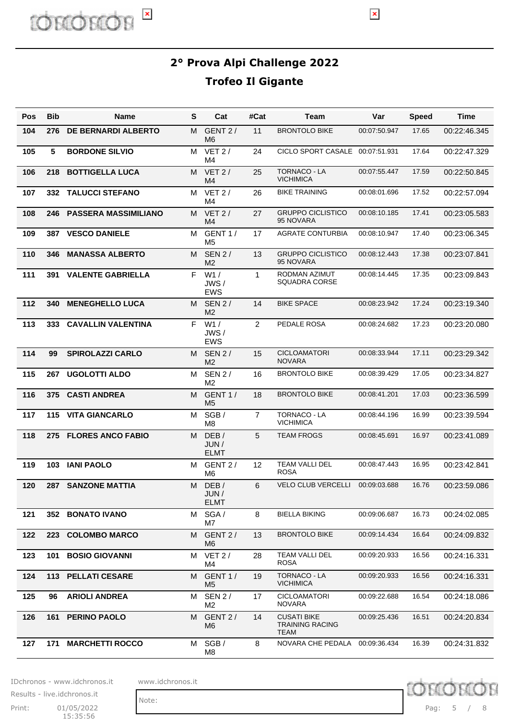# **D** chior

**2° Prova Alpi Challenge 2022 Trofeo Il Gigante**

 $\pmb{\times}$ 

| <b>Pos</b> | <b>Bib</b> | <b>Name</b>                 | S  | Cat                             | #Cat           | Team                                                 | Var          | <b>Speed</b> | Time         |
|------------|------------|-----------------------------|----|---------------------------------|----------------|------------------------------------------------------|--------------|--------------|--------------|
| 104        | 276        | <b>DE BERNARDI ALBERTO</b>  | м  | GENT 2/<br>M6                   | 11             | <b>BRONTOLO BIKE</b>                                 | 00:07:50.947 | 17.65        | 00:22:46.345 |
| 105        | 5          | <b>BORDONE SILVIO</b>       | м  | $VET$ 2 /<br>M4                 | 24             | CICLO SPORT CASALE 00:07:51.931                      |              | 17.64        | 00:22:47.329 |
| 106        | 218        | <b>BOTTIGELLA LUCA</b>      | м  | $VET$ 2 /<br>M <sub>4</sub>     | 25             | <b>TORNACO - LA</b><br><b>VICHIMICA</b>              | 00:07:55.447 | 17.59        | 00:22:50.845 |
| 107        | 332        | <b>TALUCCI STEFANO</b>      | м  | $VET$ 2 /<br>M4                 | 26             | <b>BIKE TRAINING</b>                                 | 00:08:01.696 | 17.52        | 00:22:57.094 |
| 108        | 246        | <b>PASSERA MASSIMILIANO</b> | м  | $VET$ 2 /<br>M <sub>4</sub>     | 27             | <b>GRUPPO CICLISTICO</b><br>95 NOVARA                | 00:08:10.185 | 17.41        | 00:23:05.583 |
| 109        | 387        | <b>VESCO DANIELE</b>        | M  | GENT 1/<br>M5                   | 17             | <b>AGRATE CONTURBIA</b>                              | 00:08:10.947 | 17.40        | 00:23:06.345 |
| 110        | 346        | <b>MANASSA ALBERTO</b>      | M  | <b>SEN 2/</b><br>M <sub>2</sub> | 13             | <b>GRUPPO CICLISTICO</b><br>95 NOVARA                | 00:08:12.443 | 17.38        | 00:23:07.841 |
| 111        | 391        | <b>VALENTE GABRIELLA</b>    | F. | W1/<br>JWS/<br><b>EWS</b>       | $\mathbf{1}$   | RODMAN AZIMUT<br><b>SQUADRA CORSE</b>                | 00:08:14.445 | 17.35        | 00:23:09.843 |
| 112        | 340        | <b>MENEGHELLO LUCA</b>      | М  | <b>SEN 2/</b><br>M <sub>2</sub> | 14             | <b>BIKE SPACE</b>                                    | 00:08:23.942 | 17.24        | 00:23:19.340 |
| 113        | 333        | <b>CAVALLIN VALENTINA</b>   | F. | W1/<br>JWS/<br><b>EWS</b>       | $\overline{2}$ | PEDALE ROSA                                          | 00:08:24.682 | 17.23        | 00:23:20.080 |
| 114        | 99         | <b>SPIROLAZZI CARLO</b>     | М  | <b>SEN 2/</b><br>M <sub>2</sub> | 15             | <b>CICLOAMATORI</b><br><b>NOVARA</b>                 | 00:08:33.944 | 17.11        | 00:23:29.342 |
| 115        | 267        | <b>UGOLOTTI ALDO</b>        | м  | <b>SEN 2/</b><br>M <sub>2</sub> | 16             | <b>BRONTOLO BIKE</b>                                 | 00:08:39.429 | 17.05        | 00:23:34.827 |
| 116        | 375        | <b>CASTI ANDREA</b>         | M  | GENT 1/<br>M <sub>5</sub>       | 18             | <b>BRONTOLO BIKE</b>                                 | 00:08:41.201 | 17.03        | 00:23:36.599 |
| 117        | 115        | <b>VITA GIANCARLO</b>       | М  | SGB/<br>M <sub>8</sub>          | $\overline{7}$ | <b>TORNACO - LA</b><br><b>VICHIMICA</b>              | 00:08:44.196 | 16.99        | 00:23:39.594 |
| 118        | 275        | <b>FLORES ANCO FABIO</b>    | M  | DEB/<br>JUN /<br><b>ELMT</b>    | 5              | <b>TEAM FROGS</b>                                    | 00:08:45.691 | 16.97        | 00:23:41.089 |
| 119        | 103        | <b>IANI PAOLO</b>           | м  | GENT 2/<br>M6                   | 12             | TEAM VALLI DEL<br><b>ROSA</b>                        | 00:08:47.443 | 16.95        | 00:23:42.841 |
| 120        |            | 287 SANZONE MATTIA          | М  | DEB/<br>JUN/<br><b>ELMT</b>     | 6              | <b>VELO CLUB VERCELLI</b>                            | 00:09:03.688 | 16.76        | 00:23:59.086 |
| 121        |            | 352 BONATO IVANO            | М  | SGA/<br>M7                      | 8              | <b>BIELLA BIKING</b>                                 | 00:09:06.687 | 16.73        | 00:24:02.085 |
| 122        | 223        | <b>COLOMBO MARCO</b>        | м  | GENT 2/<br>M6                   | 13             | <b>BRONTOLO BIKE</b>                                 | 00:09:14.434 | 16.64        | 00:24:09.832 |
| 123        | 101        | <b>BOSIO GIOVANNI</b>       | м  | VET 2/<br>M4                    | 28             | TEAM VALLI DEL<br><b>ROSA</b>                        | 00:09:20.933 | 16.56        | 00:24:16.331 |
| 124        |            | 113 PELLATI CESARE          | м  | GENT 1/<br>M5                   | 19             | TORNACO - LA<br><b>VICHIMICA</b>                     | 00:09:20.933 | 16.56        | 00:24:16.331 |
| 125        | 96         | <b>ARIOLI ANDREA</b>        | м  | <b>SEN 2/</b><br>M2             | 17             | <b>CICLOAMATORI</b><br>NOVARA                        | 00:09:22.688 | 16.54        | 00:24:18.086 |
| 126        | 161        | <b>PERINO PAOLO</b>         | м  | GENT 2/<br>M6                   | 14             | <b>CUSATI BIKE</b><br><b>TRAINING RACING</b><br>TEAM | 00:09:25.436 | 16.51        | 00:24:20.834 |
| 127        | 171        | <b>MARCHETTI ROCCO</b>      | м  | SGB/<br>M8                      | 8              | NOVARA CHE PEDALA                                    | 00:09:36.434 | 16.39        | 00:24:31.832 |

IDchronos - www.idchronos.it www.idchronos.it

Note:

Print: 01/05/2022 Pag: 15:35:56 Results - live.idchronos.it

D chror Pag: 5 / 8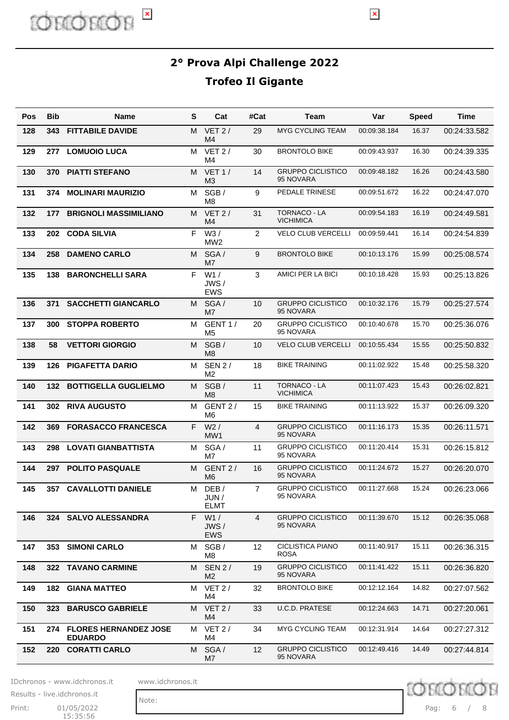# ID CULOL E

**2° Prova Alpi Challenge 2022 Trofeo Il Gigante**

 $\vert \mathbf{x} \vert$ 

| Pos | <b>Bib</b> | <b>Name</b>                                    | S  | Cat                             | #Cat            | Team                                    | Var          | <b>Speed</b> | Time         |
|-----|------------|------------------------------------------------|----|---------------------------------|-----------------|-----------------------------------------|--------------|--------------|--------------|
| 128 | 343        | <b>FITTABILE DAVIDE</b>                        | М  | $VET$ 2/<br>M4                  | 29              | <b>MYG CYCLING TEAM</b>                 | 00:09:38.184 | 16.37        | 00:24:33.582 |
| 129 | 277        | <b>LOMUOIO LUCA</b>                            | м  | VET $2/$<br>M4                  | 30              | <b>BRONTOLO BIKE</b>                    | 00:09:43.937 | 16.30        | 00:24:39.335 |
| 130 | 370        | <b>PIATTI STEFANO</b>                          | м  | VET1/<br>MЗ                     | 14              | <b>GRUPPO CICLISTICO</b><br>95 NOVARA   | 00:09:48.182 | 16.26        | 00:24:43.580 |
| 131 | 374        | <b>MOLINARI MAURIZIO</b>                       | м  | SGB /<br>M8                     | 9               | PEDALE TRINESE                          | 00:09:51.672 | 16.22        | 00:24:47.070 |
| 132 | 177        | <b>BRIGNOLI MASSIMILIANO</b>                   | м  | VET 2/<br>M4                    | 31              | <b>TORNACO - LA</b><br><b>VICHIMICA</b> | 00:09:54.183 | 16.19        | 00:24:49.581 |
| 133 | 202        | <b>CODA SILVIA</b>                             | F  | W3/<br>MW2                      | 2               | <b>VELO CLUB VERCELLI</b>               | 00:09:59.441 | 16.14        | 00:24:54.839 |
| 134 | 258        | <b>DAMENO CARLO</b>                            | М  | SGA/<br>M7                      | 9               | <b>BRONTOLO BIKE</b>                    | 00:10:13.176 | 15.99        | 00:25:08.574 |
| 135 | 138        | <b>BARONCHELLI SARA</b>                        | F. | W1/<br>JWS/<br>EWS              | 3               | AMICI PER LA BICI                       | 00:10:18.428 | 15.93        | 00:25:13.826 |
| 136 | 371        | <b>SACCHETTI GIANCARLO</b>                     | M  | SGA/<br>M7                      | 10              | <b>GRUPPO CICLISTICO</b><br>95 NOVARA   | 00:10:32.176 | 15.79        | 00:25:27.574 |
| 137 | 300        | <b>STOPPA ROBERTO</b>                          | м  | GENT 1/<br>M5                   | 20              | <b>GRUPPO CICLISTICO</b><br>95 NOVARA   | 00:10:40.678 | 15.70        | 00:25:36.076 |
| 138 | 58         | <b>VETTORI GIORGIO</b>                         | M  | SGB/<br>M8                      | 10              | <b>VELO CLUB VERCELLI</b>               | 00:10:55.434 | 15.55        | 00:25:50.832 |
| 139 | 126        | <b>PIGAFETTA DARIO</b>                         | м  | <b>SEN 2/</b><br>M <sub>2</sub> | 18              | <b>BIKE TRAINING</b>                    | 00:11:02.922 | 15.48        | 00:25:58.320 |
| 140 | 132        | <b>BOTTIGELLA GUGLIELMO</b>                    | M  | SGB/<br>M8                      | 11              | <b>TORNACO - LA</b><br><b>VICHIMICA</b> | 00:11:07.423 | 15.43        | 00:26:02.821 |
| 141 |            | 302 RIVA AUGUSTO                               | м  | GENT 2/<br>M6                   | 15              | <b>BIKE TRAINING</b>                    | 00:11:13.922 | 15.37        | 00:26:09.320 |
| 142 | 369        | <b>FORASACCO FRANCESCA</b>                     | F. | W2/<br>MW1                      | $\overline{4}$  | <b>GRUPPO CICLISTICO</b><br>95 NOVARA   | 00:11:16.173 | 15.35        | 00:26:11.571 |
| 143 | 298        | <b>LOVATI GIANBATTISTA</b>                     | м  | SGA/<br>M7                      | 11              | <b>GRUPPO CICLISTICO</b><br>95 NOVARA   | 00:11:20.414 | 15.31        | 00:26:15.812 |
| 144 | 297        | <b>POLITO PASQUALE</b>                         | м  | GENT 2/<br>M6                   | 16              | <b>GRUPPO CICLISTICO</b><br>95 NOVARA   | 00:11:24.672 | 15.27        | 00:26:20.070 |
| 145 |            | 357 CAVALLOTTI DANIELE                         | м  | DEB/<br>JUN/<br><b>ELMT</b>     | 7               | <b>GRUPPO CICLISTICO</b><br>95 NOVARA   | 00:11:27.668 | 15.24        | 00:26:23.066 |
| 146 |            | 324 SALVO ALESSANDRA                           | F. | W1/<br>JWS/<br><b>EWS</b>       | $\overline{4}$  | <b>GRUPPO CICLISTICO</b><br>95 NOVARA   | 00:11:39.670 | 15.12        | 00:26:35.068 |
| 147 | 353        | <b>SIMONI CARLO</b>                            | M  | SGB/<br>M8                      | 12 <sup>2</sup> | <b>CICLISTICA PIANO</b><br>ROSA         | 00:11:40.917 | 15.11        | 00:26:36.315 |
| 148 |            | 322 TAVANO CARMINE                             | M  | <b>SEN 2/</b><br>M <sub>2</sub> | 19              | <b>GRUPPO CICLISTICO</b><br>95 NOVARA   | 00:11:41.422 | 15.11        | 00:26:36.820 |
| 149 | 182        | <b>GIANA MATTEO</b>                            | М  | VET 2/<br>M4                    | 32              | <b>BRONTOLO BIKE</b>                    | 00:12:12.164 | 14.82        | 00:27:07.562 |
| 150 | 323        | <b>BARUSCO GABRIELE</b>                        | M  | VET 2/<br>M4                    | 33              | U.C.D. PRATESE                          | 00:12:24.663 | 14.71        | 00:27:20.061 |
| 151 | 274        | <b>FLORES HERNANDEZ JOSE</b><br><b>EDUARDO</b> | M  | VET 2/<br>M4                    | 34              | <b>MYG CYCLING TEAM</b>                 | 00:12:31.914 | 14.64        | 00:27:27.312 |
| 152 | 220        | <b>CORATTI CARLO</b>                           | М  | SGA/<br>M7                      | 12 <sup>2</sup> | <b>GRUPPO CICLISTICO</b><br>95 NOVARA   | 00:12:49.416 | 14.49        | 00:27:44.814 |

IDchronos - www.idchronos.it www.idchronos.it

Print: 01/05/2022 Pag: 15:35:56 Results - live.idchronos.it

Note:

ID chror

Pag: 6 / 8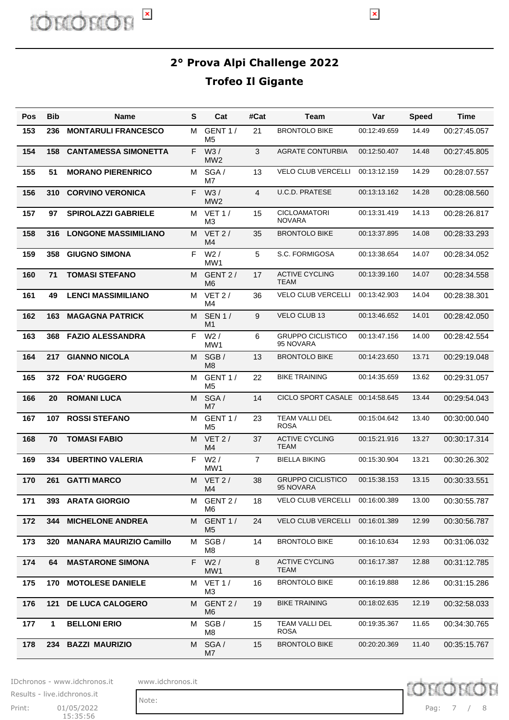$\pmb{\times}$ 

| Pos | Bib | <b>Name</b>                    | S  | Cat                             | #Cat | Team                                  | Var          | <b>Speed</b> | <b>Time</b>  |
|-----|-----|--------------------------------|----|---------------------------------|------|---------------------------------------|--------------|--------------|--------------|
| 153 | 236 | <b>MONTARULI FRANCESCO</b>     | м  | GENT <sub>1</sub> /<br>M5       | 21   | <b>BRONTOLO BIKE</b>                  | 00:12:49.659 | 14.49        | 00:27:45.057 |
| 154 | 158 | <b>CANTAMESSA SIMONETTA</b>    | F. | W3/<br>MW <sub>2</sub>          | 3    | <b>AGRATE CONTURBIA</b>               | 00:12:50.407 | 14.48        | 00:27:45.805 |
| 155 | 51  | <b>MORANO PIERENRICO</b>       | м  | SGA/<br>M7                      | 13   | <b>VELO CLUB VERCELLI</b>             | 00:13:12.159 | 14.29        | 00:28:07.557 |
| 156 | 310 | <b>CORVINO VERONICA</b>        | F. | W3/<br>MW <sub>2</sub>          | 4    | <b>U.C.D. PRATESE</b>                 | 00:13:13.162 | 14.28        | 00:28:08.560 |
| 157 | 97  | <b>SPIROLAZZI GABRIELE</b>     | м  | <b>VET 1/</b><br>M3             | 15   | <b>CICLOAMATORI</b><br><b>NOVARA</b>  | 00:13:31.419 | 14.13        | 00:28:26.817 |
| 158 | 316 | <b>LONGONE MASSIMILIANO</b>    | М  | $VET$ 2 /<br>M <sub>4</sub>     | 35   | <b>BRONTOLO BIKE</b>                  | 00:13:37.895 | 14.08        | 00:28:33.293 |
| 159 | 358 | <b>GIUGNO SIMONA</b>           | F. | $W2$ /<br>MW1                   | 5    | S.C. FORMIGOSA                        | 00:13:38.654 | 14.07        | 00:28:34.052 |
| 160 | 71  | <b>TOMASI STEFANO</b>          | м  | GENT 2/<br>M6                   | 17   | <b>ACTIVE CYCLING</b><br>TEAM         | 00:13:39.160 | 14.07        | 00:28:34.558 |
| 161 | 49  | <b>LENCI MASSIMILIANO</b>      | м  | VET $2/$<br>M4                  | 36   | <b>VELO CLUB VERCELLI</b>             | 00:13:42.903 | 14.04        | 00:28:38.301 |
| 162 | 163 | <b>MAGAGNA PATRICK</b>         | м  | <b>SEN 1/</b><br>M <sub>1</sub> | 9    | VELO CLUB 13                          | 00:13:46.652 | 14.01        | 00:28:42.050 |
| 163 | 368 | <b>FAZIO ALESSANDRA</b>        | F. | W2/<br>MW1                      | 6    | <b>GRUPPO CICLISTICO</b><br>95 NOVARA | 00:13:47.156 | 14.00        | 00:28:42.554 |
| 164 | 217 | <b>GIANNO NICOLA</b>           | м  | SGB/<br>M <sub>8</sub>          | 13   | <b>BRONTOLO BIKE</b>                  | 00:14:23.650 | 13.71        | 00:29:19.048 |
| 165 | 372 | <b>FOA' RUGGERO</b>            | м  | GENT 1/<br>M5                   | 22   | <b>BIKE TRAINING</b>                  | 00:14:35.659 | 13.62        | 00:29:31.057 |
| 166 | 20  | <b>ROMANI LUCA</b>             | м  | SGA/<br>M <sub>7</sub>          | 14   | <b>CICLO SPORT CASALE</b>             | 00:14:58.645 | 13.44        | 00:29:54.043 |
| 167 | 107 | <b>ROSSI STEFANO</b>           | м  | GENT 1/<br>M5                   | 23   | TEAM VALLI DEL<br><b>ROSA</b>         | 00:15:04.642 | 13.40        | 00:30:00.040 |
| 168 | 70  | <b>TOMASI FABIO</b>            | м  | VET 2/<br>M <sub>4</sub>        | 37   | <b>ACTIVE CYCLING</b><br><b>TEAM</b>  | 00:15:21.916 | 13.27        | 00:30:17.314 |
| 169 | 334 | <b>UBERTINO VALERIA</b>        | F  | W2/<br>MW1                      | 7    | <b>BIELLA BIKING</b>                  | 00:15:30.904 | 13.21        | 00:30:26.302 |
| 170 | 261 | <b>GATTI MARCO</b>             | м  | VET 2/<br>M4                    | 38   | <b>GRUPPO CICLISTICO</b><br>95 NOVARA | 00:15:38.153 | 13.15        | 00:30:33.551 |
| 171 | 393 | <b>ARATA GIORGIO</b>           | M  | GENT 2/<br>M6                   | 18   | VELO CLUB VERCELLI                    | 00:16:00.389 | 13.00        | 00:30:55.787 |
| 172 | 344 | <b>MICHELONE ANDREA</b>        | М  | GENT 1/<br>M <sub>5</sub>       | 24   | <b>VELO CLUB VERCELLI</b>             | 00:16:01.389 | 12.99        | 00:30:56.787 |
| 173 | 320 | <b>MANARA MAURIZIO Camillo</b> | м  | SGB/<br>M8                      | 14   | <b>BRONTOLO BIKE</b>                  | 00:16:10.634 | 12.93        | 00:31:06.032 |
| 174 | 64  | <b>MASTARONE SIMONA</b>        | F  | W2/<br>MW1                      | 8    | <b>ACTIVE CYCLING</b><br><b>TEAM</b>  | 00:16:17.387 | 12.88        | 00:31:12.785 |
| 175 | 170 | <b>MOTOLESE DANIELE</b>        | м  | <b>VET 1/</b><br>ΜЗ             | 16   | <b>BRONTOLO BIKE</b>                  | 00:16:19.888 | 12.86        | 00:31:15.286 |
| 176 | 121 | <b>DE LUCA CALOGERO</b>        | м  | GENT 2/<br>M <sub>6</sub>       | 19   | <b>BIKE TRAINING</b>                  | 00:18:02.635 | 12.19        | 00:32:58.033 |
| 177 | 1   | <b>BELLONI ERIO</b>            | м  | SGB/<br>M8                      | 15   | TEAM VALLI DEL<br><b>ROSA</b>         | 00:19:35.367 | 11.65        | 00:34:30.765 |
| 178 | 234 | <b>BAZZI MAURIZIO</b>          | М  | SGA/<br>M7                      | 15   | <b>BRONTOLO BIKE</b>                  | 00:20:20.369 | 11.40        | 00:35:15.767 |

IDchronos - www.idchronos.it www.idchronos.it

ID CULOL E

Note:

Print: 01/05/2022 Pag: 15:35:56 Results - live.idchronos.it

D chror Pag: 7 / 8